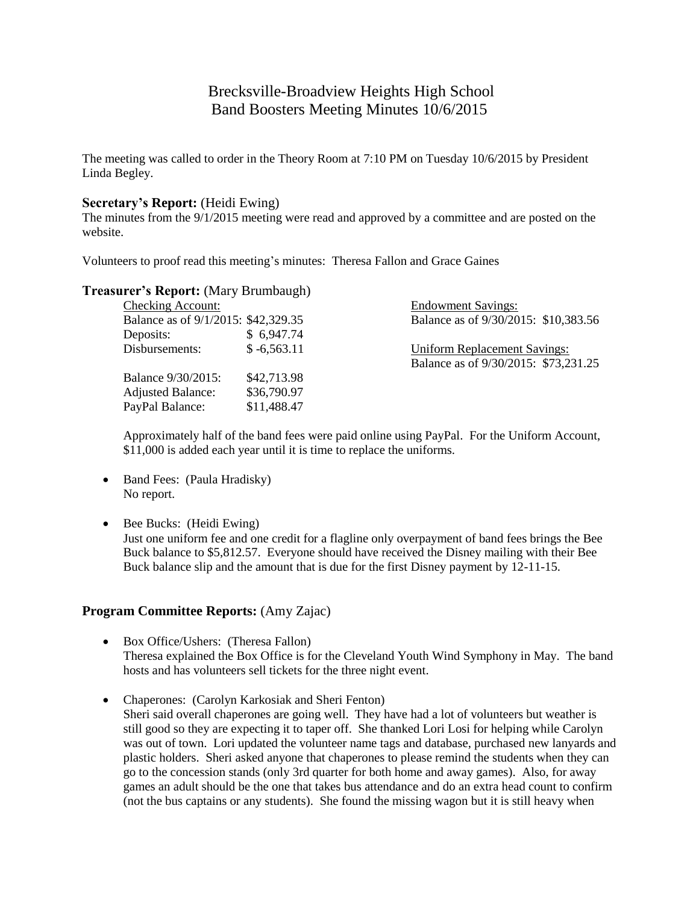# Brecksville-Broadview Heights High School Band Boosters Meeting Minutes 10/6/2015

The meeting was called to order in the Theory Room at 7:10 PM on Tuesday 10/6/2015 by President Linda Begley.

### **Secretary's Report:** (Heidi Ewing)

The minutes from the 9/1/2015 meeting were read and approved by a committee and are posted on the website.

Volunteers to proof read this meeting's minutes: Theresa Fallon and Grace Gaines

### **Treasurer's Report:** (Mary Brumbaugh)

| <b>Checking Account:</b>            |               | <b>Endowment Savings:</b>            |
|-------------------------------------|---------------|--------------------------------------|
| Balance as of 9/1/2015: \$42,329.35 |               | Balance as of 9/30/2015: \$10,383.56 |
| Deposits:                           | \$6,947.74    |                                      |
| Disbursements:                      | $$ -6,563.11$ | <b>Uniform Replacement Savings:</b>  |
|                                     |               | Balance as of 9/30/2015: \$73,231.25 |
| Balance 9/30/2015:                  | \$42,713.98   |                                      |
| <b>Adjusted Balance:</b>            | \$36,790.97   |                                      |
| PayPal Balance:                     | \$11,488.47   |                                      |

Approximately half of the band fees were paid online using PayPal. For the Uniform Account, \$11,000 is added each year until it is time to replace the uniforms.

- Band Fees: (Paula Hradisky) No report.
- Bee Bucks: (Heidi Ewing)

Just one uniform fee and one credit for a flagline only overpayment of band fees brings the Bee Buck balance to \$5,812.57. Everyone should have received the Disney mailing with their Bee Buck balance slip and the amount that is due for the first Disney payment by 12-11-15.

# **Program Committee Reports:** (Amy Zajac)

- Box Office/Ushers: (Theresa Fallon) Theresa explained the Box Office is for the Cleveland Youth Wind Symphony in May. The band hosts and has volunteers sell tickets for the three night event.
- Chaperones: (Carolyn Karkosiak and Sheri Fenton) Sheri said overall chaperones are going well. They have had a lot of volunteers but weather is still good so they are expecting it to taper off. She thanked Lori Losi for helping while Carolyn was out of town. Lori updated the volunteer name tags and database, purchased new lanyards and plastic holders. Sheri asked anyone that chaperones to please remind the students when they can go to the concession stands (only 3rd quarter for both home and away games). Also, for away games an adult should be the one that takes bus attendance and do an extra head count to confirm (not the bus captains or any students). She found the missing wagon but it is still heavy when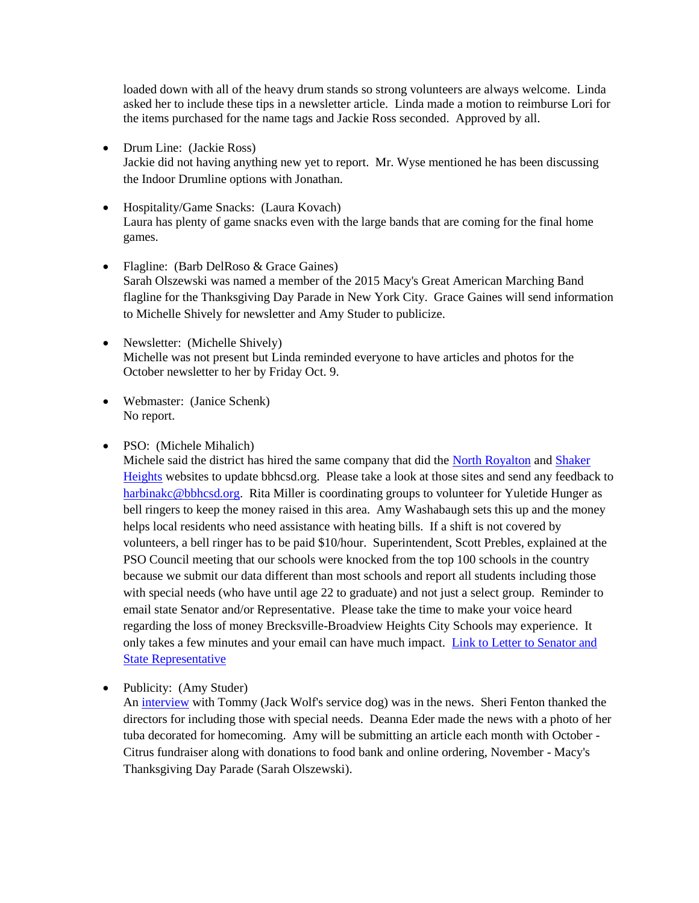loaded down with all of the heavy drum stands so strong volunteers are always welcome. Linda asked her to include these tips in a newsletter article. Linda made a motion to reimburse Lori for the items purchased for the name tags and Jackie Ross seconded. Approved by all.

- Drum Line: (Jackie Ross) Jackie did not having anything new yet to report. Mr. Wyse mentioned he has been discussing the Indoor Drumline options with Jonathan.
- Hospitality/Game Snacks: (Laura Kovach) Laura has plenty of game snacks even with the large bands that are coming for the final home games.
- Flagline: (Barb DelRoso & Grace Gaines) Sarah Olszewski was named a member of the 2015 Macy's Great American Marching Band flagline for the Thanksgiving Day Parade in New York City. Grace Gaines will send information to Michelle Shively for newsletter and Amy Studer to publicize.
- Newsletter: (Michelle Shively) Michelle was not present but Linda reminded everyone to have articles and photos for the October newsletter to her by Friday Oct. 9.
- Webmaster: (Janice Schenk) No report.
- PSO: (Michele Mihalich)

Michele said the district has hired the same company that did the [North Royalton](http://www.northroyaltonsd.org/) and [Shaker](http://www.shaker.org/)  [Heights](http://www.shaker.org/) websites to update bbhcsd.org. Please take a look at those sites and send any feedback to [harbinakc@bbhcsd.org.](mailto:harbinakc@bbhcsd.org) Rita Miller is coordinating groups to volunteer for Yuletide Hunger as bell ringers to keep the money raised in this area. Amy Washabaugh sets this up and the money helps local residents who need assistance with heating bills. If a shift is not covered by volunteers, a bell ringer has to be paid \$10/hour. Superintendent, Scott Prebles, explained at the PSO Council meeting that our schools were knocked from the top 100 schools in the country because we submit our data different than most schools and report all students including those with special needs (who have until age 22 to graduate) and not just a select group. Reminder to email state Senator and/or Representative. Please take the time to make your voice heard regarding the loss of money Brecksville-Broadview Heights City Schools may experience. It only takes a few minutes and your email can have much impact. Link to Letter to Senator and [State Representative](http://r20.rs6.net/tn.jsp?f=0012Pp4-RveIiEnqWcHTiLZFrYvatx6Vr1wM-ZuMdI1j-UTvPozksMTGE25Km15ZLFxI2NwMpPMMAZXQ9vp8SAPeqevcuHwsBbhgUtTIuJ2kohZWrKXO7b6iNKC4SMq3EQF1yiplIcMOWx_732Das5l6hGyPg2bVOsx7f8wu878D7K7JD2hdwI9k-gY6MZW95zlRqGgpmLcfrCotaFuKCgLmG85BYw6LbzxBvxcZoKw04U0cT9597dR0w==&c=YFDLECIWlkMyAOabnsWdC9H_J6NhaZQOXmxmFv133Xx_v6RBXgGZoA==&ch=jE73_NSC2EggPDoa8J-eBH8cDvhDV4xT8_ET34JRxJFVgi7NnIyRxw==)

• Publicity: (Amy Studer)

An [interview](http://www.cleveland.com/broadview-heights/index.ssf/2015/09/golden_retriever_marches_with.html) with Tommy (Jack Wolf's service dog) was in the news. Sheri Fenton thanked the directors for including those with special needs. Deanna Eder made the news with a photo of her tuba decorated for homecoming. Amy will be submitting an article each month with October - Citrus fundraiser along with donations to food bank and online ordering, November - Macy's Thanksgiving Day Parade (Sarah Olszewski).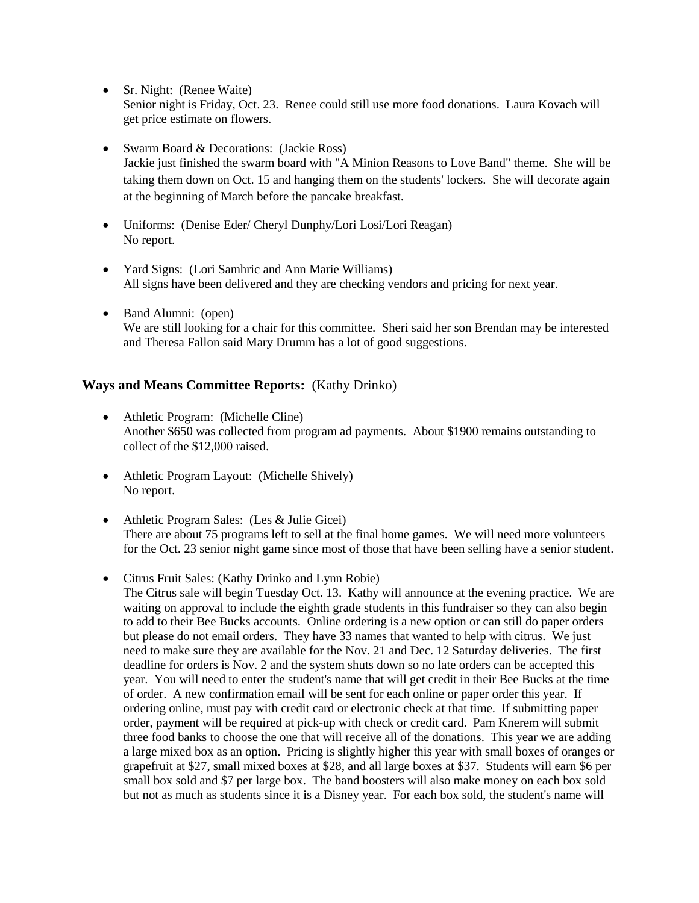- Sr. Night: (Renee Waite) Senior night is Friday, Oct. 23. Renee could still use more food donations. Laura Kovach will get price estimate on flowers.
- Swarm Board & Decorations: (Jackie Ross) Jackie just finished the swarm board with "A Minion Reasons to Love Band" theme. She will be taking them down on Oct. 15 and hanging them on the students' lockers. She will decorate again at the beginning of March before the pancake breakfast.
- Uniforms: (Denise Eder/ Cheryl Dunphy/Lori Losi/Lori Reagan) No report.
- Yard Signs: (Lori Samhric and Ann Marie Williams) All signs have been delivered and they are checking vendors and pricing for next year.
- Band Alumni: (open) We are still looking for a chair for this committee. Sheri said her son Brendan may be interested and Theresa Fallon said Mary Drumm has a lot of good suggestions.

# **Ways and Means Committee Reports:** (Kathy Drinko)

- Athletic Program: (Michelle Cline) Another \$650 was collected from program ad payments. About \$1900 remains outstanding to collect of the \$12,000 raised.
- Athletic Program Layout: (Michelle Shively) No report.
- Athletic Program Sales: (Les & Julie Gicei) There are about 75 programs left to sell at the final home games. We will need more volunteers for the Oct. 23 senior night game since most of those that have been selling have a senior student.
- Citrus Fruit Sales: (Kathy Drinko and Lynn Robie)

The Citrus sale will begin Tuesday Oct. 13. Kathy will announce at the evening practice. We are waiting on approval to include the eighth grade students in this fundraiser so they can also begin to add to their Bee Bucks accounts. Online ordering is a new option or can still do paper orders but please do not email orders. They have 33 names that wanted to help with citrus. We just need to make sure they are available for the Nov. 21 and Dec. 12 Saturday deliveries. The first deadline for orders is Nov. 2 and the system shuts down so no late orders can be accepted this year. You will need to enter the student's name that will get credit in their Bee Bucks at the time of order. A new confirmation email will be sent for each online or paper order this year. If ordering online, must pay with credit card or electronic check at that time. If submitting paper order, payment will be required at pick-up with check or credit card. Pam Knerem will submit three food banks to choose the one that will receive all of the donations. This year we are adding a large mixed box as an option. Pricing is slightly higher this year with small boxes of oranges or grapefruit at \$27, small mixed boxes at \$28, and all large boxes at \$37. Students will earn \$6 per small box sold and \$7 per large box. The band boosters will also make money on each box sold but not as much as students since it is a Disney year. For each box sold, the student's name will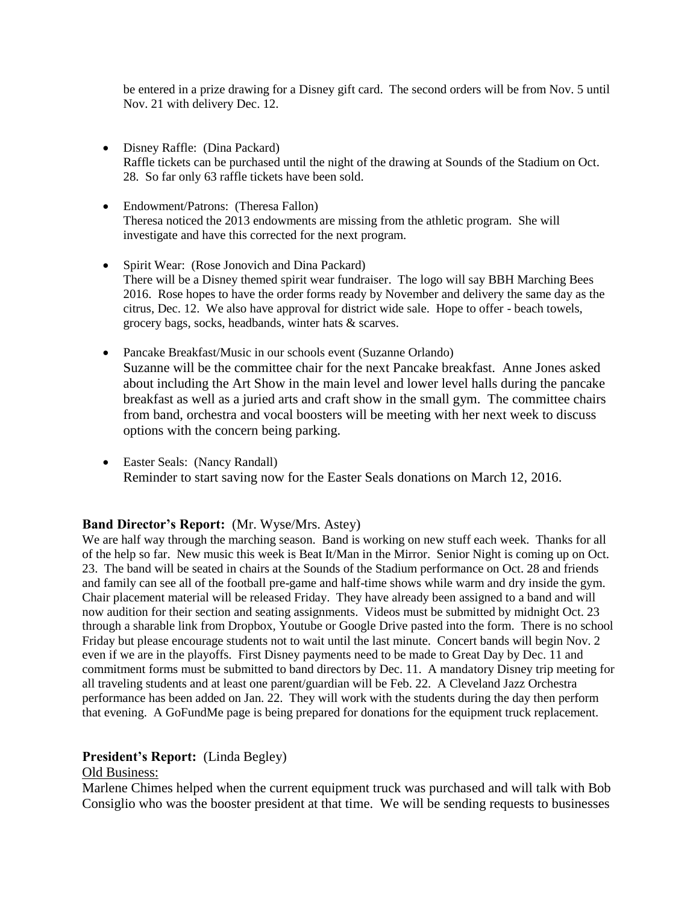be entered in a prize drawing for a Disney gift card. The second orders will be from Nov. 5 until Nov. 21 with delivery Dec. 12.

- Disney Raffle: (Dina Packard) Raffle tickets can be purchased until the night of the drawing at Sounds of the Stadium on Oct. 28. So far only 63 raffle tickets have been sold.
- Endowment/Patrons: (Theresa Fallon) Theresa noticed the 2013 endowments are missing from the athletic program. She will investigate and have this corrected for the next program.
- Spirit Wear: (Rose Jonovich and Dina Packard) There will be a Disney themed spirit wear fundraiser. The logo will say BBH Marching Bees 2016. Rose hopes to have the order forms ready by November and delivery the same day as the citrus, Dec. 12. We also have approval for district wide sale. Hope to offer - beach towels, grocery bags, socks, headbands, winter hats & scarves.
- Pancake Breakfast/Music in our schools event (Suzanne Orlando) Suzanne will be the committee chair for the next Pancake breakfast. Anne Jones asked about including the Art Show in the main level and lower level halls during the pancake breakfast as well as a juried arts and craft show in the small gym. The committee chairs from band, orchestra and vocal boosters will be meeting with her next week to discuss options with the concern being parking.
- Easter Seals: (Nancy Randall) Reminder to start saving now for the Easter Seals donations on March 12, 2016.

# **Band Director's Report:** (Mr. Wyse/Mrs. Astey)

We are half way through the marching season. Band is working on new stuff each week. Thanks for all of the help so far. New music this week is Beat It/Man in the Mirror. Senior Night is coming up on Oct. 23. The band will be seated in chairs at the Sounds of the Stadium performance on Oct. 28 and friends and family can see all of the football pre-game and half-time shows while warm and dry inside the gym. Chair placement material will be released Friday. They have already been assigned to a band and will now audition for their section and seating assignments. Videos must be submitted by midnight Oct. 23 through a sharable link from Dropbox, Youtube or Google Drive pasted into the form. There is no school Friday but please encourage students not to wait until the last minute. Concert bands will begin Nov. 2 even if we are in the playoffs. First Disney payments need to be made to Great Day by Dec. 11 and commitment forms must be submitted to band directors by Dec. 11. A mandatory Disney trip meeting for all traveling students and at least one parent/guardian will be Feb. 22. A Cleveland Jazz Orchestra performance has been added on Jan. 22. They will work with the students during the day then perform that evening. A GoFundMe page is being prepared for donations for the equipment truck replacement.

# **President's Report:** (Linda Begley)

### Old Business:

Marlene Chimes helped when the current equipment truck was purchased and will talk with Bob Consiglio who was the booster president at that time. We will be sending requests to businesses